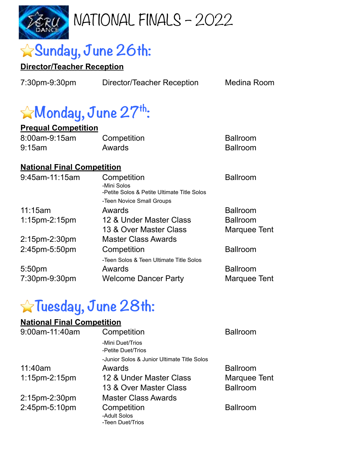

# ⭐**Sunday, June 26th:**

#### **Director/Teacher Reception**

7:30pm-9:30pm Director/Teacher Reception Medina Room

# ⭐**Monday, June 27th:**

#### **Prequal Competition**

| 8:00am-9:15am | Competition | <b>Ballroom</b> |
|---------------|-------------|-----------------|
| $9:15$ am     | Awards      | Ballroom        |

#### **National Final Competition**

| Competition<br>-Mini Solos<br>-Petite Solos & Petite Ultimate Title Solos | <b>Ballroom</b>           |
|---------------------------------------------------------------------------|---------------------------|
| Awards                                                                    | <b>Ballroom</b>           |
| 12 & Under Master Class                                                   | <b>Ballroom</b>           |
| 13 & Over Master Class                                                    | Marquee Tent              |
| <b>Master Class Awards</b>                                                |                           |
| Competition                                                               | <b>Ballroom</b>           |
| -Teen Solos & Teen Ultimate Title Solos                                   |                           |
| Awards                                                                    | <b>Ballroom</b>           |
| <b>Welcome Dancer Party</b>                                               | Marquee Tent              |
|                                                                           | -Teen Novice Small Groups |

# ⭐**Tuesday, June 28th:**

#### **National Final Competition**

| 9:00am-11:40am   | Competition                                     | <b>Ballroom</b>     |
|------------------|-------------------------------------------------|---------------------|
|                  | -Mini Duet/Trios<br>-Petite Duet/Trios          |                     |
|                  | -Junior Solos & Junior Ultimate Title Solos     |                     |
| 11:40am          | Awards                                          | <b>Ballroom</b>     |
| $1:15$ pm-2:15pm | 12 & Under Master Class                         | <b>Marquee Tent</b> |
|                  | 13 & Over Master Class                          | <b>Ballroom</b>     |
| 2:15pm-2:30pm    | <b>Master Class Awards</b>                      |                     |
| 2:45pm-5:10pm    | Competition<br>-Adult Solos<br>-Teen Duet/Trios | <b>Ballroom</b>     |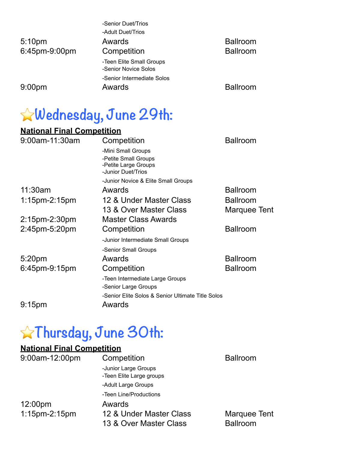|                    | -Senior Duet/Trios                               |                 |
|--------------------|--------------------------------------------------|-----------------|
|                    | -Adult Duet/Trios                                |                 |
| 5:10 <sub>pm</sub> | Awards                                           | <b>Ballroom</b> |
| 6:45pm-9:00pm      | Competition                                      | <b>Ballroom</b> |
|                    | -Teen Elite Small Groups<br>-Senior Novice Solos |                 |
|                    | -Senior Intermediate Solos                       |                 |
| 9:00 <sub>pm</sub> | Awards                                           | <b>Ballroom</b> |

### ⭐**Wednesday, June 29th:**

### **National Final Competition**

| 9:00am-11:30am     | Competition                                                        | <b>Ballroom</b> |
|--------------------|--------------------------------------------------------------------|-----------------|
|                    | -Mini Small Groups                                                 |                 |
|                    | -Petite Small Groups<br>-Petite Large Groups<br>-Junior Duet/Trios |                 |
|                    | -Junior Novice & Elite Small Groups                                |                 |
| 11:30am            | Awards                                                             | <b>Ballroom</b> |
| $1:15$ pm-2:15pm   | 12 & Under Master Class                                            | <b>Ballroom</b> |
|                    | 13 & Over Master Class                                             | Marquee Tent    |
| 2:15pm-2:30pm      | <b>Master Class Awards</b>                                         |                 |
| 2:45pm-5:20pm      | Competition                                                        | <b>Ballroom</b> |
|                    | -Junior Intermediate Small Groups                                  |                 |
|                    | -Senior Small Groups                                               |                 |
| 5:20pm             | Awards                                                             | <b>Ballroom</b> |
| 6:45pm-9:15pm      | Competition                                                        | <b>Ballroom</b> |
|                    | -Teen Intermediate Large Groups                                    |                 |
|                    | -Senior Large Groups                                               |                 |
|                    | -Senior Elite Solos & Senior Ultimate Title Solos                  |                 |
| 9:15 <sub>pm</sub> | Awards                                                             |                 |

# ⭐**Thursday, June 30th:**

#### **National Final Competition**

| 9:00am-12:00pm    | Competition                                      | <b>Ballroom</b> |
|-------------------|--------------------------------------------------|-----------------|
|                   | -Junior Large Groups<br>-Teen Elite Large groups |                 |
|                   | -Adult Large Groups                              |                 |
|                   | -Teen Line/Productions                           |                 |
| $12:00 \text{pm}$ | Awards                                           |                 |
| $1:15$ pm-2:15pm  | 12 & Under Master Class                          | Marquee Tent    |
|                   | 13 & Over Master Class                           | <b>Ballroom</b> |